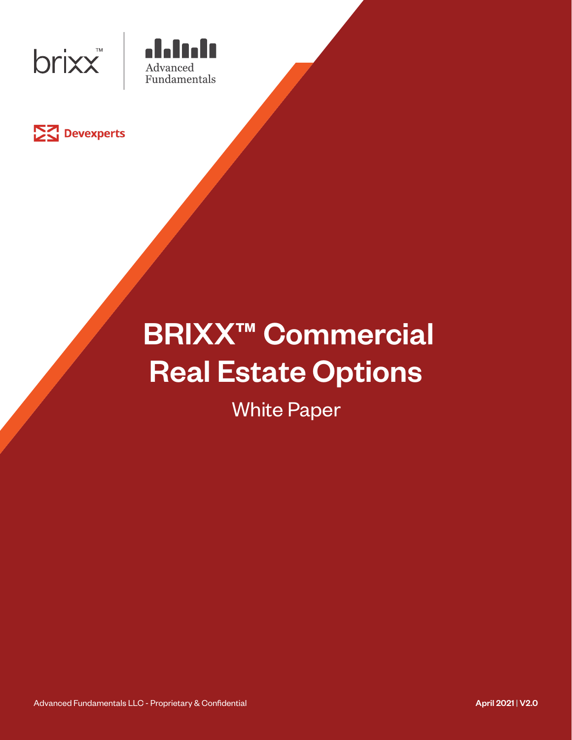





# **BRIXX<sup>™</sup> Commercial** Real Estate Options

White Paper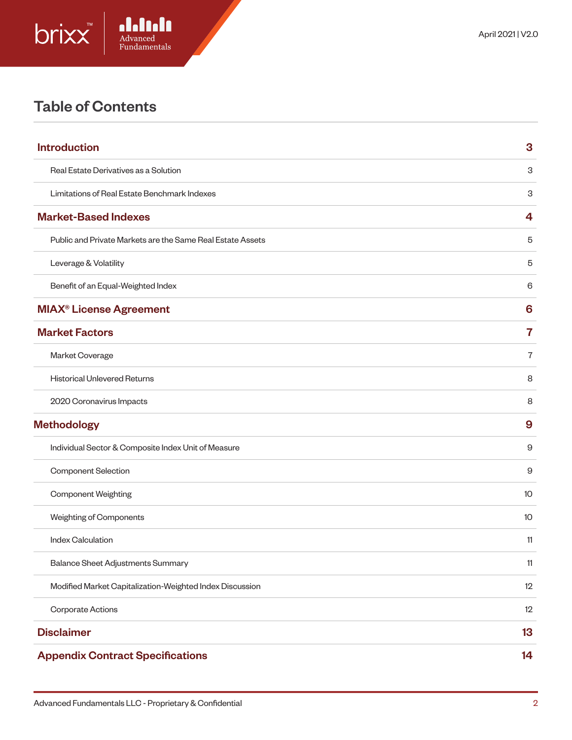

# Table of Contents

| <b>Introduction</b>                                        | 3              |
|------------------------------------------------------------|----------------|
| Real Estate Derivatives as a Solution                      | 3              |
| Limitations of Real Estate Benchmark Indexes               | 3              |
| <b>Market-Based Indexes</b>                                | 4              |
| Public and Private Markets are the Same Real Estate Assets | 5              |
| Leverage & Volatility                                      | 5              |
| Benefit of an Equal-Weighted Index                         | 6              |
| <b>MIAX<sup>®</sup> License Agreement</b>                  | 6              |
| <b>Market Factors</b>                                      | 7              |
| Market Coverage                                            | $\overline{7}$ |
| <b>Historical Unlevered Returns</b>                        | 8              |
| 2020 Coronavirus Impacts                                   | 8              |
| <b>Methodology</b>                                         | 9              |
| Individual Sector & Composite Index Unit of Measure        | 9              |
| Component Selection                                        | 9              |
| <b>Component Weighting</b>                                 | 10             |
| Weighting of Components                                    | 10             |
| <b>Index Calculation</b>                                   | 11             |
| Balance Sheet Adjustments Summary                          | 11             |
| Modified Market Capitalization-Weighted Index Discussion   | 12             |
| <b>Corporate Actions</b>                                   | 12             |
| <b>Disclaimer</b>                                          | 13             |
| <b>Appendix Contract Specifications</b>                    | 14             |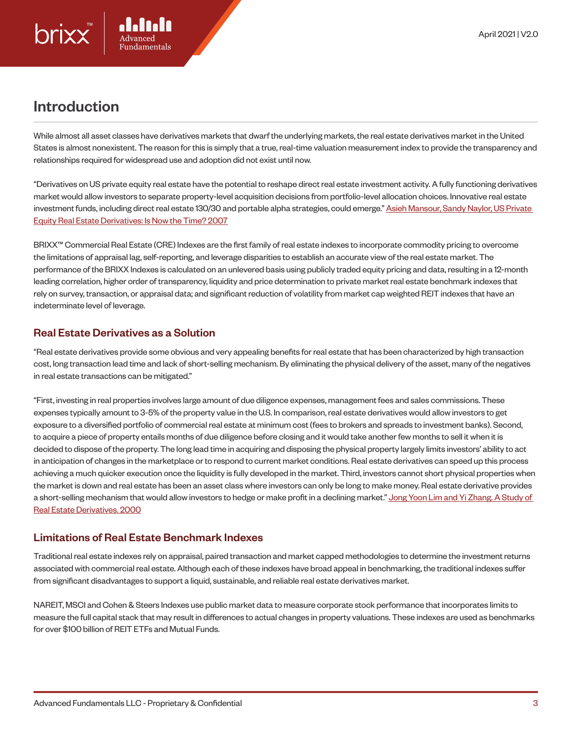

# Introduction

While almost all asset classes have derivatives markets that dwarf the underlying markets, the real estate derivatives market in the United States is almost nonexistent. The reason for this is simply that a true, real-time valuation measurement index to provide the transparency and relationships required for widespread use and adoption did not exist until now.

"Derivatives on US private equity real estate have the potential to reshape direct real estate investment activity. A fully functioning derivatives market would allow investors to separate property-level acquisition decisions from portfolio-level allocation choices. Innovative real estate investment funds, including direct real estate 130/30 and portable alpha strategies, could emerge." Asieh Mansour, Sandy Naylor, US Private Equity Real Estate Derivatives: Is Now the Time? 2007

BRIXX™ Commercial Real Estate (CRE) Indexes are the first family of real estate indexes to incorporate commodity pricing to overcome the limitations of appraisal lag, self-reporting, and leverage disparities to establish an accurate view of the real estate market. The performance of the BRIXX Indexes is calculated on an unlevered basis using publicly traded equity pricing and data, resulting in a 12-month leading correlation, higher order of transparency, liquidity and price determination to private market real estate benchmark indexes that rely on survey, transaction, or appraisal data; and significant reduction of volatility from market cap weighted REIT indexes that have an indeterminate level of leverage.

## Real Estate Derivatives as a Solution

"Real estate derivatives provide some obvious and very appealing benefits for real estate that has been characterized by high transaction cost, long transaction lead time and lack of short-selling mechanism. By eliminating the physical delivery of the asset, many of the negatives in real estate transactions can be mitigated."

"First, investing in real properties involves large amount of due diligence expenses, management fees and sales commissions. These expenses typically amount to 3-5% of the property value in the U.S. In comparison, real estate derivatives would allow investors to get exposure to a diversified portfolio of commercial real estate at minimum cost (fees to brokers and spreads to investment banks). Second, to acquire a piece of property entails months of due diligence before closing and it would take another few months to sell it when it is decided to dispose of the property. The long lead time in acquiring and disposing the physical property largely limits investors' ability to act in anticipation of changes in the marketplace or to respond to current market conditions. Real estate derivatives can speed up this process achieving a much quicker execution once the liquidity is fully developed in the market. Third, investors cannot short physical properties when the market is down and real estate has been an asset class where investors can only be long to make money. Real estate derivative provides a short-selling mechanism that would allow investors to hedge or make profit in a declining market." Jong Yoon Lim and Yi Zhang. A Study of Real Estate Derivatives. 2000

## Limitations of Real Estate Benchmark Indexes

Traditional real estate indexes rely on appraisal, paired transaction and market capped methodologies to determine the investment returns associated with commercial real estate. Although each of these indexes have broad appeal in benchmarking, the traditional indexes suffer from significant disadvantages to support a liquid, sustainable, and reliable real estate derivatives market.

NAREIT, MSCI and Cohen & Steers Indexes use public market data to measure corporate stock performance that incorporates limits to measure the full capital stack that may result in differences to actual changes in property valuations. These indexes are used as benchmarks for over \$100 billion of REIT ETFs and Mutual Funds.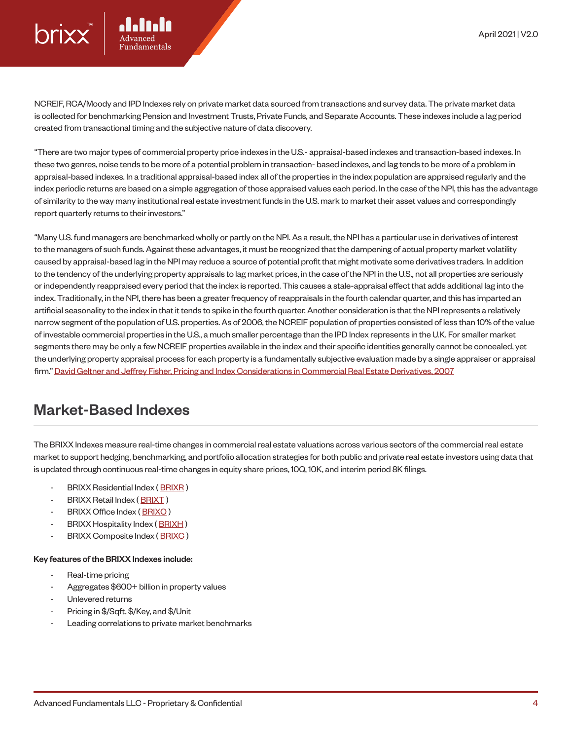NCREIF, RCA/Moody and IPD Indexes rely on private market data sourced from transactions and survey data. The private market data is collected for benchmarking Pension and Investment Trusts, Private Funds, and Separate Accounts. These indexes include a lag period created from transactional timing and the subjective nature of data discovery.

"There are two major types of commercial property price indexes in the U.S.- appraisal-based indexes and transaction-based indexes. In these two genres, noise tends to be more of a potential problem in transaction- based indexes, and lag tends to be more of a problem in appraisal-based indexes. In a traditional appraisal-based index all of the properties in the index population are appraised regularly and the index periodic returns are based on a simple aggregation of those appraised values each period. In the case of the NPI, this has the advantage of similarity to the way many institutional real estate investment funds in the U.S. mark to market their asset values and correspondingly report quarterly returns to their investors."

"Many U.S. fund managers are benchmarked wholly or partly on the NPI. As a result, the NPI has a particular use in derivatives of interest to the managers of such funds. Against these advantages, it must be recognized that the dampening of actual property market volatility caused by appraisal-based lag in the NPI may reduce a source of potential profit that might motivate some derivatives traders. In addition to the tendency of the underlying property appraisals to lag market prices, in the case of the NPI in the U.S., not all properties are seriously or independently reappraised every period that the index is reported. This causes a stale-appraisal effect that adds additional lag into the index. Traditionally, in the NPI, there has been a greater frequency of reappraisals in the fourth calendar quarter, and this has imparted an artificial seasonality to the index in that it tends to spike in the fourth quarter. Another consideration is that the NPI represents a relatively narrow segment of the population of U.S. properties. As of 2006, the NCREIF population of properties consisted of less than 10% of the value of investable commercial properties in the U.S., a much smaller percentage than the IPD Index represents in the U.K. For smaller market segments there may be only a few NCREIF properties available in the index and their specific identities generally cannot be concealed, yet the underlying property appraisal process for each property is a fundamentally subjective evaluation made by a single appraiser or appraisal firm." David Geltner and Jeffrey Fisher, Pricing and Index Considerations in Commercial Real Estate Derivatives, 2007

## Market-Based Indexes

The BRIXX Indexes measure real-time changes in commercial real estate valuations across various sectors of the commercial real estate market to support hedging, benchmarking, and portfolio allocation strategies for both public and private real estate investors using data that is updated through continuous real-time changes in equity share prices, 10Q, 10K, and interim period 8K filings.

- BRIXX Residential Index (BRIXR)
- BRIXX Retail Index (BRIXT)
- BRIXX Office Index (BRIXO)
- BRIXX Hospitality Index (BRIXH)
- BRIXX Composite Index (BRIXC)

#### Key features of the BRIXX Indexes include:

- Real-time pricing
- Aggregates \$600+ billion in property values
- Unlevered returns
- Pricing in \$/Sqft, \$/Key, and \$/Unit
- Leading correlations to private market benchmarks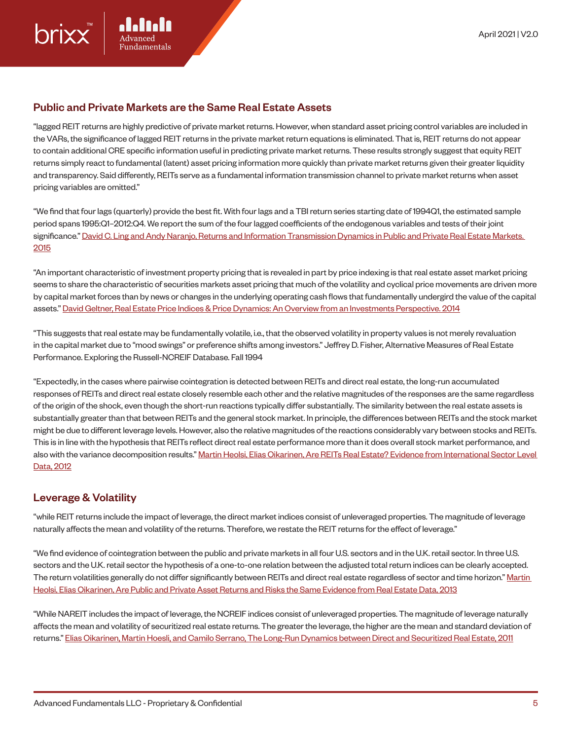#### Public and Private Markets are the Same Real Estate Assets

"lagged REIT returns are highly predictive of private market returns. However, when standard asset pricing control variables are included in the VARs, the significance of lagged REIT returns in the private market return equations is eliminated. That is, REIT returns do not appear to contain additional CRE specific information useful in predicting private market returns. These results strongly suggest that equity REIT returns simply react to fundamental (latent) asset pricing information more quickly than private market returns given their greater liquidity and transparency. Said differently, REITs serve as a fundamental information transmission channel to private market returns when asset pricing variables are omitted."

"We find that four lags (quarterly) provide the best fit. With four lags and a TBI return series starting date of 1994Q1, the estimated sample period spans 1995:Q1–2012:Q4. We report the sum of the four lagged coefficients of the endogenous variables and tests of their joint significance." David C. Ling and Andy Naranjo, Returns and Information Transmission Dynamics in Public and Private Real Estate Markets. 2015

"An important characteristic of investment property pricing that is revealed in part by price indexing is that real estate asset market pricing seems to share the characteristic of securities markets asset pricing that much of the volatility and cyclical price movements are driven more by capital market forces than by news or changes in the underlying operating cash flows that fundamentally undergird the value of the capital assets." David Geltner, Real Estate Price Indices & Price Dynamics: An Overview from an Investments Perspective. 2014

"This suggests that real estate may be fundamentally volatile, i.e., that the observed volatility in property values is not merely revaluation in the capital market due to "mood swings" or preference shifts among investors." Jeffrey D. Fisher, Alternative Measures of Real Estate Performance. Exploring the Russell-NCREIF Database. Fall 1994

"Expectedly, in the cases where pairwise cointegration is detected between REITs and direct real estate, the long-run accumulated responses of REITs and direct real estate closely resemble each other and the relative magnitudes of the responses are the same regardless of the origin of the shock, even though the short-run reactions typically differ substantially. The similarity between the real estate assets is substantially greater than that between REITs and the general stock market. In principle, the differences between REITs and the stock market might be due to different leverage levels. However, also the relative magnitudes of the reactions considerably vary between stocks and REITs. This is in line with the hypothesis that REITs reflect direct real estate performance more than it does overall stock market performance, and also with the variance decomposition results." Martin Heolsi, Elias Oikarinen, Are REITs Real Estate? Evidence from International Sector Level Data, 2012

#### Leverage & Volatility

"while REIT returns include the impact of leverage, the direct market indices consist of unleveraged properties. The magnitude of leverage naturally affects the mean and volatility of the returns. Therefore, we restate the REIT returns for the effect of leverage."

"We find evidence of cointegration between the public and private markets in all four U.S. sectors and in the U.K. retail sector. In three U.S. sectors and the U.K. retail sector the hypothesis of a one-to-one relation between the adjusted total return indices can be clearly accepted. The return volatilities generally do not differ significantly between REITs and direct real estate regardless of sector and time horizon." Martin Heolsi, Elias Oikarinen, Are Public and Private Asset Returns and Risks the Same Evidence from Real Estate Data, 2013

"While NAREIT includes the impact of leverage, the NCREIF indices consist of unleveraged properties. The magnitude of leverage naturally affects the mean and volatility of securitized real estate returns. The greater the leverage, the higher are the mean and standard deviation of returns." Elias Oikarinen, Martin Hoesli, and Camilo Serrano, The Long-Run Dynamics between Direct and Securitized Real Estate, 2011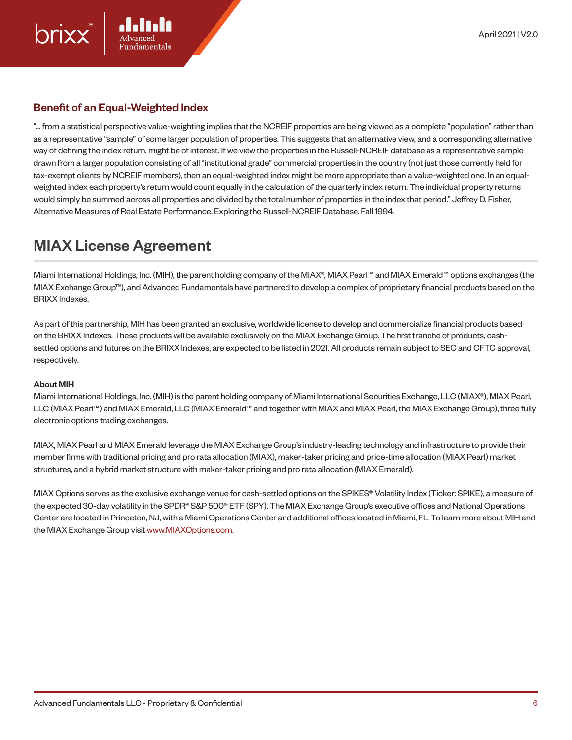## Benefit of an Equal-Weighted Index

"… from a statistical perspective value-weighting implies that the NCREIF properties are being viewed as a complete "population" rather than as a representative "sample" of some larger population of properties. This suggests that an alternative view, and a corresponding alternative way of defining the index return, might be of interest. If we view the properties in the Russell-NCREIF database as a representative sample drawn from a larger population consisting of all "institutional grade" commercial properties in the country (not just those currently held for tax-exempt clients by NCREIF members), then an equal-weighted index might be more appropriate than a value-weighted one. In an equalweighted index each property's return would count equally in the calculation of the quarterly index return. The individual property returns would simply be summed across all properties and divided by the total number of properties in the index that period." Jeffrey D. Fisher, Alternative Measures of Real Estate Performance. Exploring the Russell-NCREIF Database. Fall 1994.

## MIAX License Agreement

Miami International Holdings, Inc. (MIH), the parent holding company of the MIAX®, MIAX Pearl™ and MIAX Emerald™ options exchanges (the MIAX Exchange Group™), and Advanced Fundamentals have partnered to develop a complex of proprietary financial products based on the BRIXX Indexes.

As part of this partnership, MIH has been granted an exclusive, worldwide license to develop and commercialize financial products based on the BRIXX Indexes. These products will be available exclusively on the MIAX Exchange Group. The first tranche of products, cashsettled options and futures on the BRIXX Indexes, are expected to be listed in 2021. All products remain subject to SEC and CFTC approval, respectively.

#### About MIH

Miami International Holdings, Inc. (MIH) is the parent holding company of Miami International Securities Exchange, LLC (MIAX®), MIAX Pearl, LLC (MIAX Pearl™) and MIAX Emerald, LLC (MIAX Emerald™ and together with MIAX and MIAX Pearl, the MIAX Exchange Group), three fully electronic options trading exchanges.

MIAX, MIAX Pearl and MIAX Emerald leverage the MIAX Exchange Group's industry-leading technology and infrastructure to provide their member firms with traditional pricing and pro rata allocation (MIAX), maker-taker pricing and price-time allocation (MIAX Pearl) market structures, and a hybrid market structure with maker-taker pricing and pro rata allocation (MIAX Emerald).

MIAX Options serves as the exclusive exchange venue for cash-settled options on the SPIKES® Volatility Index (Ticker: SPIKE), a measure of the expected 30-day volatility in the SPDR® S&P 500® ETF (SPY). The MIAX Exchange Group's executive offices and National Operations Center are located in Princeton, NJ, with a Miami Operations Center and additional offices located in Miami, FL. To learn more about MIH and the MIAX Exchange Group visit www.MIAXOptions.com.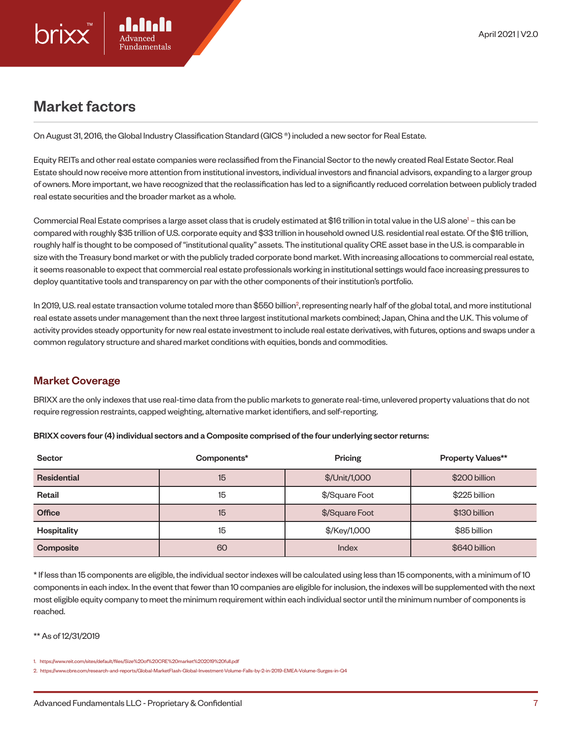

## Market factors

On August 31, 2016, the Global Industry Classification Standard (GICS ®) included a new sector for Real Estate.

Equity REITs and other real estate companies were reclassified from the Financial Sector to the newly created Real Estate Sector. Real Estate should now receive more attention from institutional investors, individual investors and financial advisors, expanding to a larger group of owners. More important, we have recognized that the reclassification has led to a significantly reduced correlation between publicly traded real estate securities and the broader market as a whole.

Commercial Real Estate comprises a large asset class that is crudely estimated at \$16 trillion in total value in the U.S alone<sup>1</sup> – this can be compared with roughly \$35 trillion of U.S. corporate equity and \$33 trillion in household owned U.S. residential real estate. Of the \$16 trillion, roughly half is thought to be composed of "institutional quality" assets. The institutional quality CRE asset base in the U.S. is comparable in size with the Treasury bond market or with the publicly traded corporate bond market. With increasing allocations to commercial real estate, it seems reasonable to expect that commercial real estate professionals working in institutional settings would face increasing pressures to deploy quantitative tools and transparency on par with the other components of their institution's portfolio.

In 2019, U.S. real estate transaction volume totaled more than \$550 billion<sup>2</sup>, representing nearly half of the global total, and more institutional real estate assets under management than the next three largest institutional markets combined; Japan, China and the U.K. This volume of activity provides steady opportunity for new real estate investment to include real estate derivatives, with futures, options and swaps under a common regulatory structure and shared market conditions with equities, bonds and commodities.

## Market Coverage

BRIXX are the only indexes that use real-time data from the public markets to generate real-time, unlevered property valuations that do not require regression restraints, capped weighting, alternative market identifiers, and self-reporting.

| <b>Sector</b>      | Components* | Pricing        | <b>Property Values**</b> |
|--------------------|-------------|----------------|--------------------------|
| <b>Residential</b> | 15          | \$/Unit/1,000  | \$200 billion            |
| Retail             | 15          | \$/Square Foot | \$225 billion            |
| <b>Office</b>      | 15          | \$/Square Foot | \$130 billion            |
| Hospitality        | 15          | \$/Key/1,000   | \$85 billion             |
| Composite          | 60          | Index          | \$640 billion            |

BRIXX covers four (4) individual sectors and a Composite comprised of the four underlying sector returns:

\* If less than 15 components are eligible, the individual sector indexes will be calculated using less than 15 components, with a minimum of 10 components in each index. In the event that fewer than 10 companies are eligible for inclusion, the indexes will be supplemented with the next most eligible equity company to meet the minimum requirement within each individual sector until the minimum number of components is reached.

\*\* As of 12/31/2019

<sup>1.</sup> https://www.reit.com/sites/default/files/Size%20of%20CRE%20market%202019%20full.pdf

<sup>2.</sup> https://www.cbre.com/research-and-reports/Global-MarketFlash-Global-Investment-Volume-Falls-by-2-in-2019-EMEA-Volume-Surges-in-Q4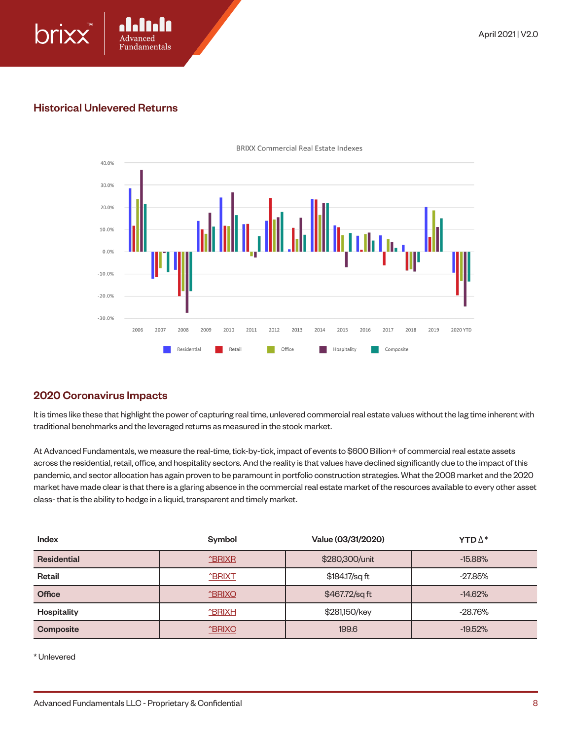

#### Historical Unlevered Returns



**BRIXX Commercial Real Estate Indexes** 

#### 2020 Coronavirus Impacts

It is times like these that highlight the power of capturing real time, unlevered commercial real estate values without the lag time inherent with traditional benchmarks and the leveraged returns as measured in the stock market.

At Advanced Fundamentals, we measure the real-time, tick-by-tick, impact of events to \$600 Billion+ of commercial real estate assets across the residential, retail, office, and hospitality sectors. And the reality is that values have declined significantly due to the impact of this pandemic, and sector allocation has again proven to be paramount in portfolio construction strategies. What the 2008 market and the 2020 market have made clear is that there is a glaring absence in the commercial real estate market of the resources available to every other asset class- that is the ability to hedge in a liquid, transparent and timely market.

| Index              | Symbol               | Value (03/31/2020) | <b>YTD</b> $\mathbb{\Delta}^*$ |
|--------------------|----------------------|--------------------|--------------------------------|
| <b>Residential</b> | <b>^BRIXR</b>        | \$280,300/unit     | $-15.88%$                      |
| Retail             | <b>ABRIXT</b>        | \$184.17/sq ft     | $-27.85%$                      |
| <b>Office</b>      | <b><u>ABRIXO</u></b> | \$467.72/sqft      | $-14.62%$                      |
| Hospitality        | <b>ABRIXH</b>        | \$281,150/key      | $-28.76\%$                     |
| Composite          | <b>ABRIXC</b>        | 199.6              | $-19.52\%$                     |

\* Unlevered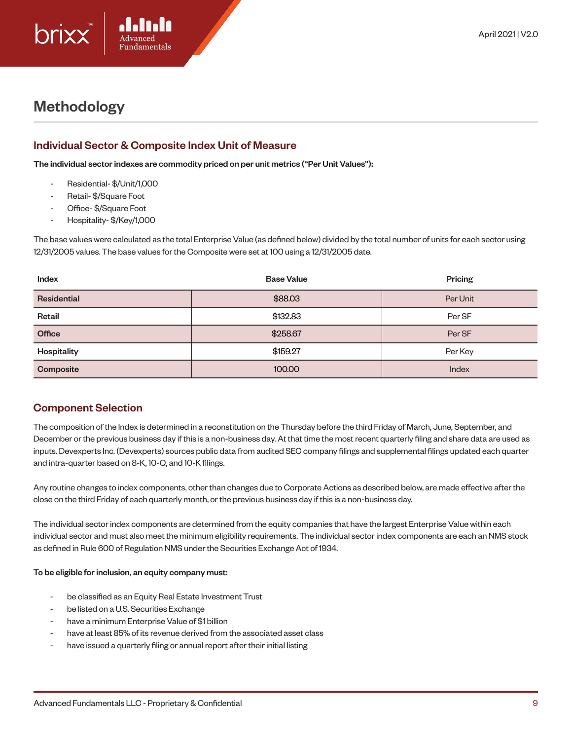

# Methodology

## Individual Sector & Composite Index Unit of Measure

The individual sector indexes are commodity priced on per unit metrics ("Per Unit Values"):

- Residential- \$/Unit/1,000
- Retail- \$/Square Foot
- Office- \$/Square Foot
- Hospitality- \$/Key/1,000

The base values were calculated as the total Enterprise Value (as defined below) divided by the total number of units for each sector using 12/31/2005 values. The base values for the Composite were set at 100 using a 12/31/2005 date.

| Index              | <b>Base Value</b> | Pricing  |
|--------------------|-------------------|----------|
| <b>Residential</b> | \$88.03           | Per Unit |
| Retail             | \$132.83          | Per SF   |
| <b>Office</b>      | \$258.67          | Per SF   |
| Hospitality        | \$159.27          | Per Key  |
| Composite          | 100.00            | Index    |

## Component Selection

The composition of the Index is determined in a reconstitution on the Thursday before the third Friday of March, June, September, and December or the previous business day if this is a non-business day. At that time the most recent quarterly filing and share data are used as inputs. Devexperts Inc. (Devexperts) sources public data from audited SEC company filings and supplemental filings updated each quarter and intra-quarter based on 8-K, 10-Q, and 10-K filings.

Any routine changes to index components, other than changes due to Corporate Actions as described below, are made effective after the close on the third Friday of each quarterly month, or the previous business day if this is a non-business day.

The individual sector index components are determined from the equity companies that have the largest Enterprise Value within each individual sector and must also meet the minimum eligibility requirements. The individual sector index components are each an NMS stock as defined in Rule 600 of Regulation NMS under the Securities Exchange Act of 1934.

#### To be eligible for inclusion, an equity company must:

- be classified as an Equity Real Estate Investment Trust
- be listed on a U.S. Securities Exchange
- have a minimum Enterprise Value of \$1 billion
- have at least 85% of its revenue derived from the associated asset class
- have issued a quarterly filing or annual report after their initial listing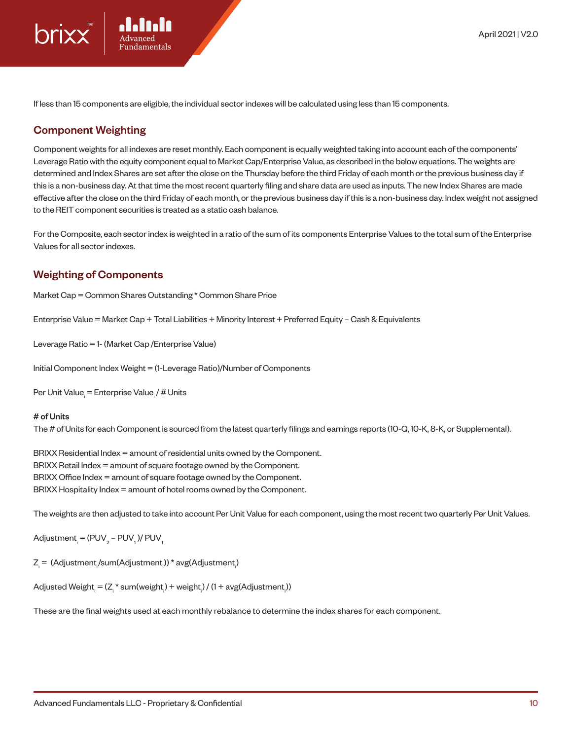If less than 15 components are eligible, the individual sector indexes will be calculated using less than 15 components.

#### Component Weighting

Component weights for all indexes are reset monthly. Each component is equally weighted taking into account each of the components' Leverage Ratio with the equity component equal to Market Cap/Enterprise Value, as described in the below equations. The weights are determined and Index Shares are set after the close on the Thursday before the third Friday of each month or the previous business day if this is a non-business day. At that time the most recent quarterly filing and share data are used as inputs. The new Index Shares are made effective after the close on the third Friday of each month, or the previous business day if this is a non-business day. Index weight not assigned to the REIT component securities is treated as a static cash balance.

For the Composite, each sector index is weighted in a ratio of the sum of its components Enterprise Values to the total sum of the Enterprise Values for all sector indexes.

#### Weighting of Components

Market Cap = Common Shares Outstanding \* Common Share Price

Enterprise Value = Market Cap + Total Liabilities + Minority Interest + Preferred Equity – Cash & Equivalents

Leverage Ratio = 1- (Market Cap /Enterprise Value)

Initial Component Index Weight = (1-Leverage Ratio)/Number of Components

Per Unit Value<sub>i</sub> = Enterprise Value<sub>i</sub> / # Units

#### # of Units

The # of Units for each Component is sourced from the latest quarterly filings and earnings reports (10-Q, 10-K, 8-K, or Supplemental).

BRIXX Residential Index = amount of residential units owned by the Component. BRIXX Retail Index = amount of square footage owned by the Component. BRIXX Office Index = amount of square footage owned by the Component. BRIXX Hospitality Index = amount of hotel rooms owned by the Component.

The weights are then adjusted to take into account Per Unit Value for each component, using the most recent two quarterly Per Unit Values.

Adjustment<sub>i</sub> = (PUV<sub>2</sub> – PUV<sub>1</sub>)/ PUV<sub>1</sub>

Z<sub>i</sub> = (Adjustment<sub>i</sub>/sum(Adjustment<sub>i</sub>)) \* avg(Adjustment<sub>i</sub>)

Adjusted Weight<sub>i</sub> = (Zˌ\* sum(weight<sub>ı</sub>) + weight<sub>ı</sub>) / (1 + avg(Adjustment<sub>ı</sub>))

These are the final weights used at each monthly rebalance to determine the index shares for each component.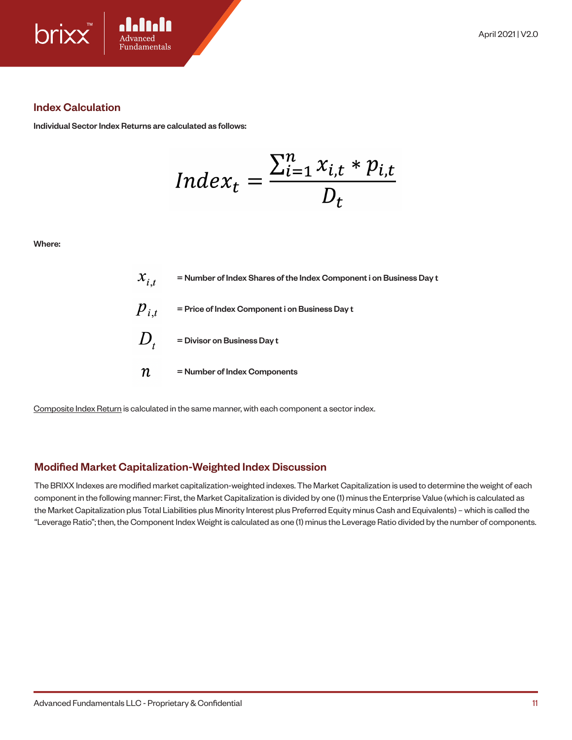

#### Index Calculation

Individual Sector Index Returns are calculated as follows:

$$
Index_t = \frac{\sum_{i=1}^{n} x_{i,t} * p_{i,t}}{D_t}
$$

Where:

|                  | $\mathcal{X}_{i,t}$ = Number of Index Shares of the Index Component i on Business Day t |
|------------------|-----------------------------------------------------------------------------------------|
|                  | $P_{i,t}$ = Price of Index Component i on Business Day t                                |
|                  | $D_{t}$ = Divisor on Business Day t                                                     |
| $\boldsymbol{n}$ | = Number of Index Components                                                            |

Composite Index Return is calculated in the same manner, with each component a sector index.

#### Modified Market Capitalization-Weighted Index Discussion

The BRIXX Indexes are modified market capitalization-weighted indexes. The Market Capitalization is used to determine the weight of each component in the following manner: First, the Market Capitalization is divided by one (1) minus the Enterprise Value (which is calculated as the Market Capitalization plus Total Liabilities plus Minority Interest plus Preferred Equity minus Cash and Equivalents) – which is called the "Leverage Ratio"; then, the Component Index Weight is calculated as one (1) minus the Leverage Ratio divided by the number of components.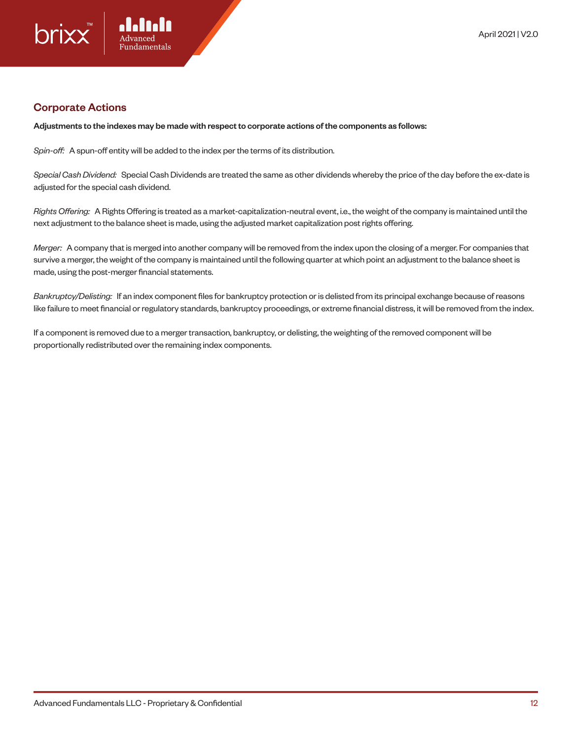

#### Corporate Actions

Adjustments to the indexes may be made with respect to corporate actions of the components as follows:

*Spin-off:* A spun-off entity will be added to the index per the terms of its distribution.

*Special Cash Dividend:* Special Cash Dividends are treated the same as other dividends whereby the price of the day before the ex-date is adjusted for the special cash dividend.

*Rights Offering:* A Rights Offering is treated as a market-capitalization-neutral event, i.e., the weight of the company is maintained until the next adjustment to the balance sheet is made, using the adjusted market capitalization post rights offering.

*Merger:* A company that is merged into another company will be removed from the index upon the closing of a merger. For companies that survive a merger, the weight of the company is maintained until the following quarter at which point an adjustment to the balance sheet is made, using the post-merger financial statements.

*Bankruptcy/Delisting:* If an index component files for bankruptcy protection or is delisted from its principal exchange because of reasons like failure to meet financial or regulatory standards, bankruptcy proceedings, or extreme financial distress, it will be removed from the index.

If a component is removed due to a merger transaction, bankruptcy, or delisting, the weighting of the removed component will be proportionally redistributed over the remaining index components.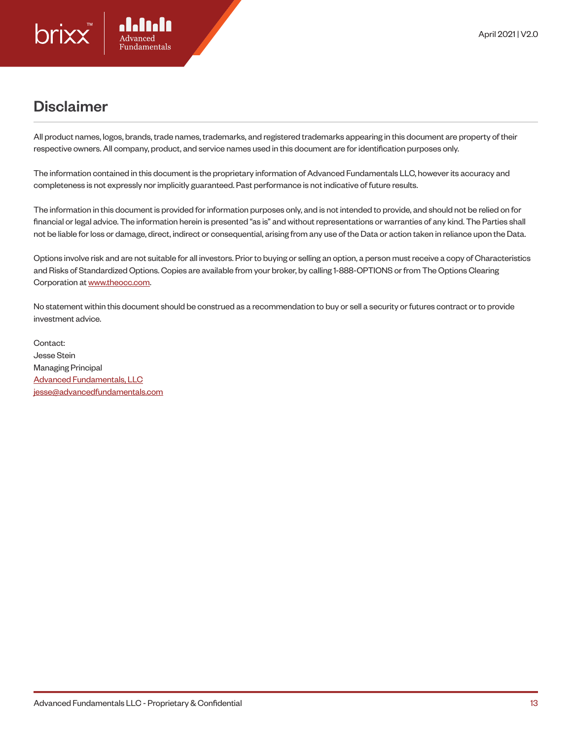# Disclaimer

All product names, logos, brands, trade names, trademarks, and registered trademarks appearing in this document are property of their respective owners. All company, product, and service names used in this document are for identification purposes only.

The information contained in this document is the proprietary information of Advanced Fundamentals LLC, however its accuracy and completeness is not expressly nor implicitly guaranteed. Past performance is not indicative of future results.

The information in this document is provided for information purposes only, and is not intended to provide, and should not be relied on for financial or legal advice. The information herein is presented "as is" and without representations or warranties of any kind. The Parties shall not be liable for loss or damage, direct, indirect or consequential, arising from any use of the Data or action taken in reliance upon the Data.

Options involve risk and are not suitable for all investors. Prior to buying or selling an option, a person must receive a copy of Characteristics and Risks of Standardized Options. Copies are available from your broker, by calling 1-888-OPTIONS or from The Options Clearing Corporation at www.theocc.com.

No statement within this document should be construed as a recommendation to buy or sell a security or futures contract or to provide investment advice.

Contact: Jesse Stein Managing Principal Advanced Fundamentals, LLC jesse@advancedfundamentals.com